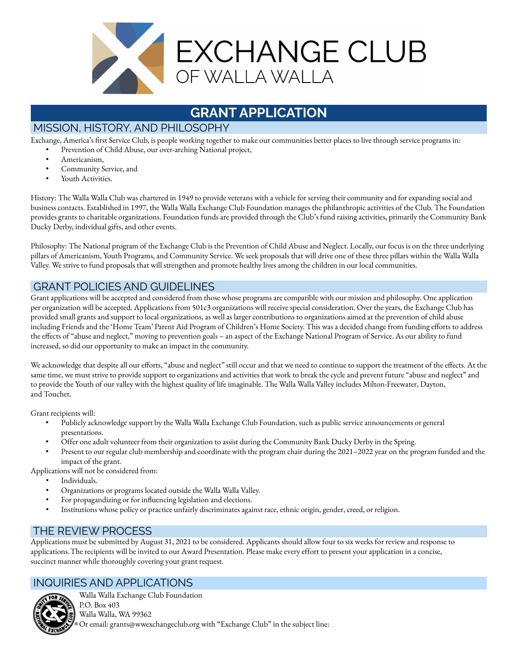

# **GRANT APPLICATION**

## MISSION, HISTORY, AND PHILOSOPHY

Exchange, America's first Service Club, is people working together to make our communities better places to live through service programs in:

- Prevention of Child Abuse, our over-arching National project,
	- Americanism,
	- Community Service, and
	- Youth Activities.

History: The Walla Walla Club was chartered in 1949 to provide veterans with a vehicle for serving their community and for expanding social and business contacts. Established in 1997, the Walla Walla Exchange Club Foundation manages the philanthropic activities of the Club. The Foundation provides grants to charitable organizations. Foundation funds are provided through the Club's fund raising activities, primarily the Community Bank Ducky Derby, individual gifts, and other events.

Philosophy: The National program of the Exchange Club is the Prevention of Child Abuse and Neglect. Locally, our focus is on the three underlying pillars of Americanism, Youth Programs, and Community Service. We seek proposals that will drive one of these three pillars within the Walla Walla Valley. We strive to fund proposals that will strengthen and promote healthy lives among the children in our local communities.

#### GRANT POLICIES AND GUIDELINES

Grant applications will be accepted and considered from those whose programs are compatible with our mission and philosophy. One application per organization will be accepted. Applications from 501c3 organizations will receive special consideration. Over the years, the Exchange Club has provided small grants and support to local organizations, as well as larger contributions to organizations aimed at the prevention of child abuse including Friends and the 'Home Team' Parent Aid Program of Children's Home Society. This was a decided change from funding efforts to address the effects of "abuse and neglect," moving to prevention goals – an aspect of the Exchange National Program of Service. As our ability to fund increased, so did our opportunity to make an impact in the community.

We acknowledge that despite all our efforts, "abuse and neglect" still occur and that we need to continue to support the treatment of the effects. At the same time, we must strive to provide support to organizations and activities that work to break the cycle and prevent future "abuse and neglect" and to provide the Youth of our valley with the highest quality of life imaginable. The Walla Walla Valley includes Milton-Freewater, Dayton, and Touchet.

Grant recipients will:

- Publicly acknowledge support by the Walla Walla Exchange Club Foundation, such as public service announcements or general presentations.
- Offer one adult volunteer from their organization to assist during the Community Bank Ducky Derby in the Spring.
- Present to our regular club membership and coordinate with the program chair during the 2021–2022 year on the program funded and the impact of the grant.

Applications will not be considered from:

- Individuals.
- Organizations or programs located outside the Walla Walla Valley.
- For propagandizing or for influencing legislation and elections.
- Institutions whose policy or practice unfairly discriminates against race, ethnic origin, gender, creed, or religion.

### THE REVIEW PROCESS

Applications must be submitted by August 31, 2021 to be considered. Applicants should allow four to six weeks for review and response to applications.The recipients will be invited to our Award Presentation. Please make every effort to present your application in a concise, succinct manner while thoroughly covering your grant request.

#### INQUIRIES AND APPLICATIONS



Walla Walla Exchange Club Foundation P.O. Box 403 Walla Walla, WA 99362 Or email: grants@wwexchangeclub.org with "Exchange Club" in the subject line: